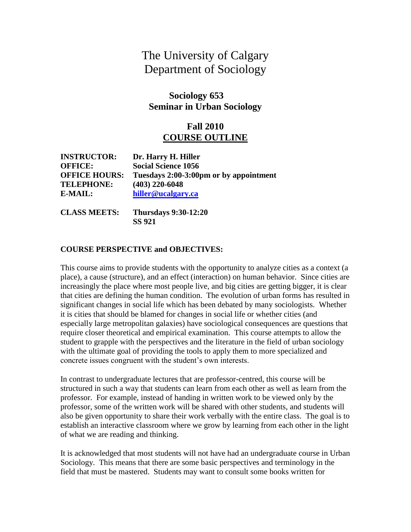# The University of Calgary Department of Sociology

## **Sociology 653 Seminar in Urban Sociology**

## **Fall 2010 COURSE OUTLINE**

| <b>INSTRUCTOR:</b>   | Dr. Harry H. Hiller                    |
|----------------------|----------------------------------------|
| <b>OFFICE:</b>       | <b>Social Science 1056</b>             |
| <b>OFFICE HOURS:</b> | Tuesdays 2:00-3:00pm or by appointment |
| <b>TELEPHONE:</b>    | $(403)$ 220-6048                       |
| E-MAIL:              | hiller@ucalgary.ca                     |

**CLASS MEETS: Thursdays 9:30-12:20 SS 921**

#### **COURSE PERSPECTIVE and OBJECTIVES:**

This course aims to provide students with the opportunity to analyze cities as a context (a place), a cause (structure), and an effect (interaction) on human behavior. Since cities are increasingly the place where most people live, and big cities are getting bigger, it is clear that cities are defining the human condition. The evolution of urban forms has resulted in significant changes in social life which has been debated by many sociologists. Whether it is cities that should be blamed for changes in social life or whether cities (and especially large metropolitan galaxies) have sociological consequences are questions that require closer theoretical and empirical examination. This course attempts to allow the student to grapple with the perspectives and the literature in the field of urban sociology with the ultimate goal of providing the tools to apply them to more specialized and concrete issues congruent with the student's own interests.

In contrast to undergraduate lectures that are professor-centred, this course will be structured in such a way that students can learn from each other as well as learn from the professor. For example, instead of handing in written work to be viewed only by the professor, some of the written work will be shared with other students, and students will also be given opportunity to share their work verbally with the entire class. The goal is to establish an interactive classroom where we grow by learning from each other in the light of what we are reading and thinking.

It is acknowledged that most students will not have had an undergraduate course in Urban Sociology. This means that there are some basic perspectives and terminology in the field that must be mastered. Students may want to consult some books written for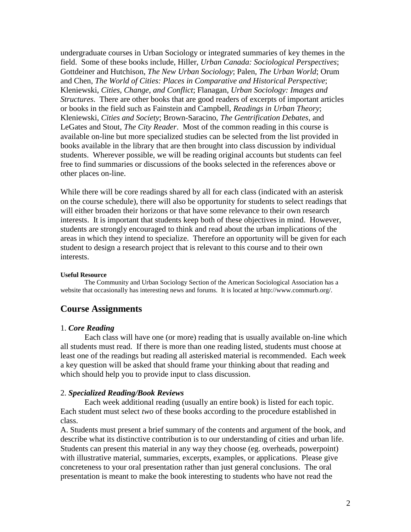undergraduate courses in Urban Sociology or integrated summaries of key themes in the field. Some of these books include, Hiller, *Urban Canada: Sociological Perspectives*; Gottdeiner and Hutchison, *The New Urban Sociology*; Palen, *The Urban World*; Orum and Chen, *The World of Cities: Places in Comparative and Historical Perspective*; Kleniewski, *Cities, Change, and Conflict*; Flanagan, *Urban Sociology: Images and Structures*. There are other books that are good readers of excerpts of important articles or books in the field such as Fainstein and Campbell, *Readings in Urban Theory*; Kleniewski, *Cities and Society*; Brown-Saracino, *The Gentrification Debates*, and LeGates and Stout, *The City Reader*. Most of the common reading in this course is available on-line but more specialized studies can be selected from the list provided in books available in the library that are then brought into class discussion by individual students. Wherever possible, we will be reading original accounts but students can feel free to find summaries or discussions of the books selected in the references above or other places on-line.

While there will be core readings shared by all for each class (indicated with an asterisk on the course schedule), there will also be opportunity for students to select readings that will either broaden their horizons or that have some relevance to their own research interests. It is important that students keep both of these objectives in mind. However, students are strongly encouraged to think and read about the urban implications of the areas in which they intend to specialize. Therefore an opportunity will be given for each student to design a research project that is relevant to this course and to their own interests.

#### **Useful Resource**

The Community and Urban Sociology Section of the American Sociological Association has a website that occasionally has interesting news and forums. It is located at http://www.commurb.org/.

### **Course Assignments**

#### 1. *Core Reading*

Each class will have one (or more) reading that is usually available on-line which all students must read. If there is more than one reading listed, students must choose at least one of the readings but reading all asterisked material is recommended. Each week a key question will be asked that should frame your thinking about that reading and which should help you to provide input to class discussion.

#### 2. *Specialized Reading/Book Reviews*

Each week additional reading (usually an entire book) is listed for each topic. Each student must select *two* of these books according to the procedure established in class.

A. Students must present a brief summary of the contents and argument of the book, and describe what its distinctive contribution is to our understanding of cities and urban life. Students can present this material in any way they choose (eg. overheads, powerpoint) with illustrative material, summaries, excerpts, examples, or applications. Please give concreteness to your oral presentation rather than just general conclusions. The oral presentation is meant to make the book interesting to students who have not read the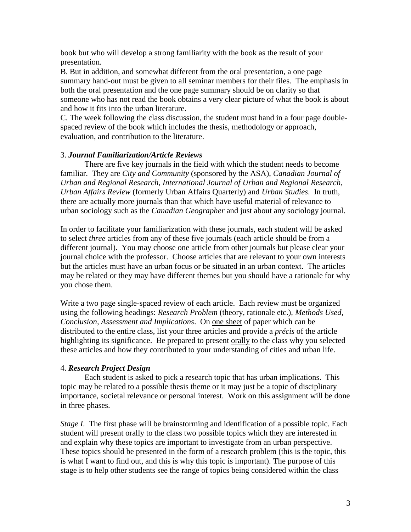book but who will develop a strong familiarity with the book as the result of your presentation.

B. But in addition, and somewhat different from the oral presentation, a one page summary hand-out must be given to all seminar members for their files. The emphasis in both the oral presentation and the one page summary should be on clarity so that someone who has not read the book obtains a very clear picture of what the book is about and how it fits into the urban literature.

C. The week following the class discussion, the student must hand in a four page doublespaced review of the book which includes the thesis, methodology or approach, evaluation, and contribution to the literature.

#### 3. *Journal Familiarization/Article Reviews*

There are five key journals in the field with which the student needs to become familiar. They are *City and Community* (sponsored by the ASA), *Canadian Journal of Urban and Regional Research*, *International Journal of Urban and Regional Research*, *Urban Affairs Review* (formerly Urban Affairs Quarterly) and *Urban Studies*. In truth, there are actually more journals than that which have useful material of relevance to urban sociology such as the *Canadian Geographer* and just about any sociology journal.

In order to facilitate your familiarization with these journals, each student will be asked to select *three* articles from any of these five journals (each article should be from a different journal). You may choose one article from other journals but please clear your journal choice with the professor. Choose articles that are relevant to your own interests but the articles must have an urban focus or be situated in an urban context. The articles may be related or they may have different themes but you should have a rationale for why you chose them.

Write a two page single-spaced review of each article. Each review must be organized using the following headings: *Research Problem* (theory, rationale etc.)*, Methods Used, Conclusion, Assessment and Implications*. On one sheet of paper which can be distributed to the entire class, list your three articles and provide a *précis* of the article highlighting its significance. Be prepared to present orally to the class why you selected these articles and how they contributed to your understanding of cities and urban life.

### 4. *Research Project Design*

Each student is asked to pick a research topic that has urban implications. This topic may be related to a possible thesis theme or it may just be a topic of disciplinary importance, societal relevance or personal interest. Work on this assignment will be done in three phases.

*Stage I*. The first phase will be brainstorming and identification of a possible topic. Each student will present orally to the class two possible topics which they are interested in and explain why these topics are important to investigate from an urban perspective. These topics should be presented in the form of a research problem (this is the topic, this is what I want to find out, and this is why this topic is important). The purpose of this stage is to help other students see the range of topics being considered within the class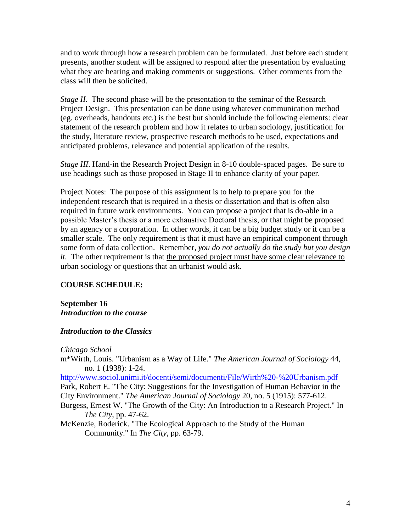and to work through how a research problem can be formulated. Just before each student presents, another student will be assigned to respond after the presentation by evaluating what they are hearing and making comments or suggestions. Other comments from the class will then be solicited.

*Stage II.* The second phase will be the presentation to the seminar of the Research Project Design. This presentation can be done using whatever communication method (eg. overheads, handouts etc.) is the best but should include the following elements: clear statement of the research problem and how it relates to urban sociology, justification for the study, literature review, prospective research methods to be used, expectations and anticipated problems, relevance and potential application of the results.

*Stage III*. Hand-in the Research Project Design in 8-10 double-spaced pages. Be sure to use headings such as those proposed in Stage II to enhance clarity of your paper.

Project Notes: The purpose of this assignment is to help to prepare you for the independent research that is required in a thesis or dissertation and that is often also required in future work environments. You can propose a project that is do-able in a possible Master's thesis or a more exhaustive Doctoral thesis, or that might be proposed by an agency or a corporation. In other words, it can be a big budget study or it can be a smaller scale. The only requirement is that it must have an empirical component through some form of data collection. Remember, *you do not actually do the study but you design it*. The other requirement is that the proposed project must have some clear relevance to urban sociology or questions that an urbanist would ask.

### **COURSE SCHEDULE:**

**September 16** *Introduction to the course*

### *Introduction to the Classics*

*Chicago School*

m\*Wirth, Louis. "Urbanism as a Way of Life." *The American Journal of Sociology* 44, no. 1 (1938): 1-24.

<http://www.sociol.unimi.it/docenti/semi/documenti/File/Wirth%20-%20Urbanism.pdf> Park, Robert E. "The City: Suggestions for the Investigation of Human Behavior in the City Environment." *The American Journal of Sociology* 20, no. 5 (1915): 577-612.

- Burgess, Ernest W. "The Growth of the City: An Introduction to a Research Project." In *The City*, pp. 47-62.
- McKenzie, Roderick. "The Ecological Approach to the Study of the Human Community." In *The City*, pp. 63-79.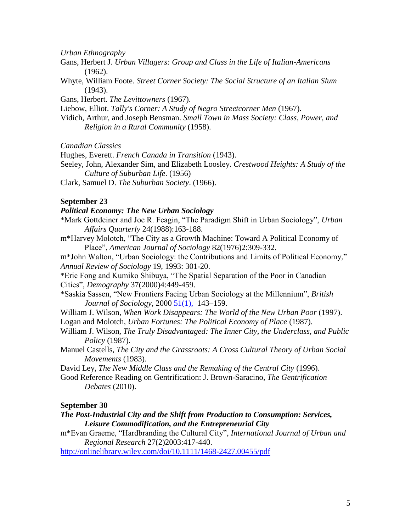*Urban Ethnography*

- Gans, Herbert J. *Urban Villagers: Group and Class in the Life of Italian-Americans* (1962).
- Whyte, William Foote. *Street Corner Society: The Social Structure of an Italian Slum* (1943).

Gans, Herbert. *The Levittowners* (1967).

Liebow, Elliot. *Tally's Corner: A Study of Negro Streetcorner Men* (1967).

Vidich, Arthur, and Joseph Bensman. *Small Town in Mass Society: Class, Power, and Religion in a Rural Community* (1958).

*Canadian Classics*

Hughes, Everett. *French Canada in Transition* (1943).

Seeley, John, Alexander Sim, and Elizabeth Loosley. *Crestwood Heights: A Study of the Culture of Suburban Life*. (1956)

Clark, Samuel D. *The Suburban Society*. (1966).

#### **September 23**

#### *Political Economy: The New Urban Sociology*

- \*Mark Gottdeiner and Joe R. Feagin, "The Paradigm Shift in Urban Sociology", *Urban Affairs Quarterly* 24(1988):163-188.
- m\*Harvey Molotch, "The City as a Growth Machine: Toward A Political Economy of Place", *American Journal of Sociology* 82(1976)2:309-332.

m\*John Walton, "Urban Sociology: the Contributions and Limits of Political Economy," *Annual Review of Sociology* 19, 1993: 301-20.

\*Eric Fong and Kumiko Shibuya, "The Spatial Separation of the Poor in Canadian Cities", *Demography* 37(2000)4:449-459.

\*Saskia Sassen, "New Frontiers Facing Urban Sociology at the Millennium", *British Journal of Sociology*, 2000 [51\(1\),](http://onlinelibrary.wiley.com.ezproxy.lib.ucalgary.ca/doi/10.1111/bjos.2000.51.issue-1/issuetoc) 143–159.

William J. Wilson, *When Work Disappears: The World of the New Urban Poor* (1997). Logan and Molotch, *Urban Fortunes: The Political Economy of Place* (1987).

- William J. Wilson, *The Truly Disadvantaged: The Inner City, the Underclass, and Public Policy* (1987).
- Manuel Castells, *The City and the Grassroots: A Cross Cultural Theory of Urban Social Movements* (1983).

David Ley, *The New Middle Class and the Remaking of the Central City* (1996).

Good Reference Reading on Gentrification: J. Brown-Saracino*, The Gentrification Debates* (2010).

#### **September 30**

#### *The Post-Industrial City and the Shift from Production to Consumption: Services, Leisure Commodification, and the Entrepreneurial City*

m\*Evan Graeme, "Hardbranding the Cultural City", *International Journal of Urban and Regional Research* 27(2)2003:417-440.

<http://onlinelibrary.wiley.com/doi/10.1111/1468-2427.00455/pdf>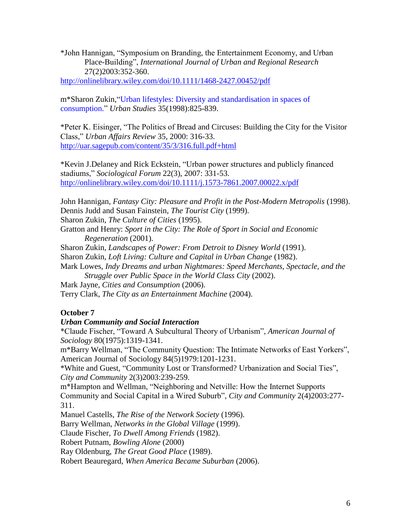\*John Hannigan, "Symposium on Branding, the Entertainment Economy, and Urban Place-Building", *International Journal of Urban and Regional Research* 27(2)2003:352-360.

<http://onlinelibrary.wiley.com/doi/10.1111/1468-2427.00452/pdf>

m\*Sharon Zukin,["Urban lifestyles: Diversity and standardisation in spaces of](http://web.ebscohost.com.ezproxy.lib.ucalgary.ca/ehost/viewarticle?data=dGJyMPPp44rp2%2fdV0%2bnjisfk5Ie46bZRtau2S66k63nn5Kx95uXxjL6urUuvpbBIr6aeTbiptFKwpp5oy5zyit%2fk8Xnh6ueH7N%2fiVa%2burk2zp7VKt6ykhN%2fk5VXj5KR84LPfUeac8nnls79mpNfsVbWptkuvqKR%2b7ejrefKz5I3q4vJ99uoA&hid=104)  [consumption."](http://web.ebscohost.com.ezproxy.lib.ucalgary.ca/ehost/viewarticle?data=dGJyMPPp44rp2%2fdV0%2bnjisfk5Ie46bZRtau2S66k63nn5Kx95uXxjL6urUuvpbBIr6aeTbiptFKwpp5oy5zyit%2fk8Xnh6ueH7N%2fiVa%2burk2zp7VKt6ykhN%2fk5VXj5KR84LPfUeac8nnls79mpNfsVbWptkuvqKR%2b7ejrefKz5I3q4vJ99uoA&hid=104) *Urban Studies* 35(1998):825-839.

\*Peter K. Eisinger, "The Politics of Bread and Circuses: Building the City for the Visitor Class," *Urban Affairs Review* 35, 2000: 316-33. <http://uar.sagepub.com/content/35/3/316.full.pdf+html>

\*Kevin J.Delaney and Rick Eckstein, "Urban power structures and publicly financed stadiums," *Sociological Forum* 22(3), 2007: 331-53. <http://onlinelibrary.wiley.com/doi/10.1111/j.1573-7861.2007.00022.x/pdf>

John Hannigan, *Fantasy City: Pleasure and Profit in the Post-Modern Metropolis* (1998). Dennis Judd and Susan Fainstein, *The Tourist City* (1999).

Sharon Zukin, *The Culture of Cities* (1995).

Gratton and Henry: *Sport in the City: The Role of Sport in Social and Economic Regeneration* (2001).

Sharon Zukin, *Landscapes of Power: From Detroit to Disney World* (1991).

Sharon Zukin, *Loft Living: Culture and Capital in Urban Change* (1982).

Mark Lowes, *Indy Dreams and urban Nightmares: Speed Merchants, Spectacle, and the Struggle over Public Space in the World Class City* (2002).

Mark Jayne, *Cities and Consumption* (2006).

Terry Clark, *The City as an Entertainment Machine* (2004).

### **October 7**

### *Urban Community and Social Interaction*

\*Claude Fischer, "Toward A Subcultural Theory of Urbanism", *American Journal of Sociology* 80(1975):1319-1341.

m\*Barry Wellman, "The Community Question: The Intimate Networks of East Yorkers", American Journal of Sociology 84(5)1979:1201-1231.

\*White and Guest, "Community Lost or Transformed? Urbanization and Social Ties", *City and Community* 2(3)2003:239-259.

m\*Hampton and Wellman, "Neighboring and Netville: How the Internet Supports Community and Social Capital in a Wired Suburb", *City and Community* 2(4)2003:277- 311.

Manuel Castells, *The Rise of the Network Society* (1996).

Barry Wellman, *Networks in the Global Village* (1999).

Claude Fischer, *To Dwell Among Friends* (1982).

Robert Putnam, *Bowling Alone* (2000)

Ray Oldenburg, *The Great Good Place* (1989).

Robert Beauregard, *When America Became Suburban* (2006).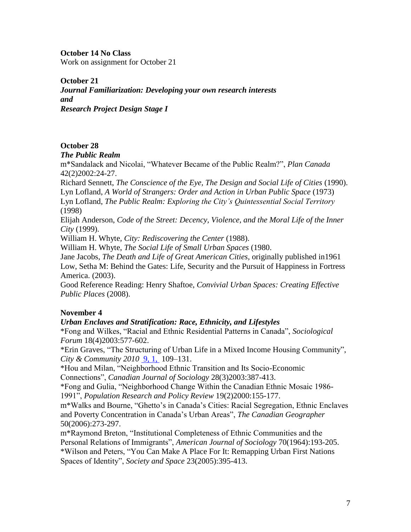**October 14 No Class**

Work on assignment for October 21

**October 21**

*Journal Familiarization: Developing your own research interests and Research Project Design Stage I*

## **October 28**

### *The Public Realm*

m\*Sandalack and Nicolai, "Whatever Became of the Public Realm?", *Plan Canada* 42(2)2002:24-27.

Richard Sennett, *The Conscience of the Eye, The Design and Social Life of Cities* (1990). Lyn Lofland, *A World of Strangers: Order and Action in Urban Public Space* (1973)

Lyn Lofland, *The Public Realm: Exploring the City's Quintessential Social Territory* (1998)

Elijah Anderson, *Code of the Street: Decency, Violence, and the Moral Life of the Inner City* (1999).

William H. Whyte*, City: Rediscovering the Center* (1988).

William H. Whyte, *[The Social Life of Small Urban Spaces](http://www.pps.org/store/books/the-social-life-of-small-urban-spaces/)* (1980.

Jane Jacobs, *The Death and Life of Great American Cities*, originally published in1961 Low, Setha M: Behind the Gates: Life, Security and the Pursuit of Happiness in Fortress America. (2003).

Good Reference Reading: Henry Shaftoe, *Convivial Urban Spaces: Creating Effective Public Places* (2008).

## **November 4**

### *Urban Enclaves and Stratification: Race, Ethnicity, and Lifestyles*

\*Fong and Wilkes, "Racial and Ethnic Residential Patterns in Canada", *Sociological Forum* 18(4)2003:577-602.

\*Erin Graves, "The Structuring of Urban Life in a Mixed Income Housing Community", *City & Community 2010* [9, 1,](http://onlinelibrary.wiley.com.ezproxy.lib.ucalgary.ca/doi/10.1111/cico.2010.9.issue-1/issuetoc) 109–131.

\*Hou and Milan, "Neighborhood Ethnic Transition and Its Socio-Economic Connections", *Canadian Journal of Sociology* 28(3)2003:387-413.

\*Fong and Gulia, "Neighborhood Change Within the Canadian Ethnic Mosaic 1986- 1991", *Population Research and Policy Review* 19(2)2000:155-177.

m\*Walks and Bourne, "Ghetto's in Canada's Cities: Racial Segregation, Ethnic Enclaves and Poverty Concentration in Canada's Urban Areas", *The Canadian Geographer* 50(2006):273-297.

m\*Raymond Breton, "Institutional Completeness of Ethnic Communities and the Personal Relations of Immigrants", *American Journal of Sociology* 70(1964):193-205. \*Wilson and Peters, "You Can Make A Place For It: Remapping Urban First Nations Spaces of Identity", *Society and Space* 23(2005):395-413.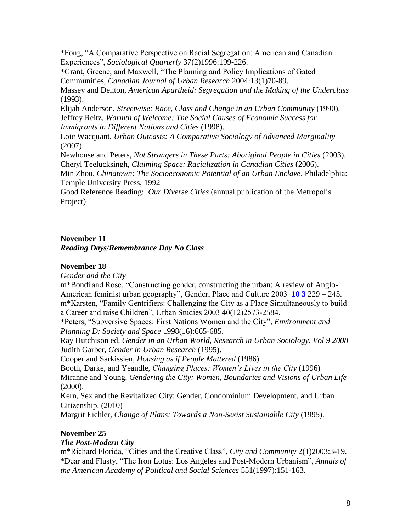\*Fong, "A Comparative Perspective on Racial Segregation: American and Canadian Experiences", *Sociological Quarterly* 37(2)1996:199-226.

\*Grant, Greene, and Maxwell, "The Planning and Policy Implications of Gated Communities, *Canadian Journal of Urban Research* 2004:13(1)70-89.

Massey and Denton, *American Apartheid: Segregation and the Making of the Underclass* (1993).

Elijah Anderson, *Streetwise: Race, Class and Change in an Urban Community* (1990). Jeffrey Reitz, *Warmth of Welcome: The Social Causes of Economic Success for Immigrants in Different Nations and Cities* (1998).

Loic Wacquant, *Urban Outcasts: A Comparative Sociology of Advanced Marginality* (2007).

Newhouse and Peters, *Not Strangers in These Parts: Aboriginal People in Cities* (2003). Cheryl Teelucksingh, *Claiming Space: Racialization in Canadian Cities* (2006).

Min Zhou, *Chinatown: The Socioeconomic Potential of an Urban Enclave*. Philadelphia: Temple University Press, 1992

Good Reference Reading: *Our Diverse Cities* (annual publication of the Metropolis Project)

## **November 11**

*Reading Days/Remembrance Day No Class*

### **November 18**

*Gender and the City*

m\*Bondi and Rose, "Constructing gender, constructing the urban: A review of Anglo-American feminist urban geography", Gender, Place and Culture 2003 **[10](http://www.informaworld.com/smpp/title~db=all~content=t713423101~tab=issueslist~branches=10#v10) [3](http://www.informaworld.com/smpp/title~db=all~content=g713423128)** 229 – 245. m\*Karsten, "Family Gentrifiers: Challenging the City as a Place Simultaneously to build a Career and raise Children", Urban Studies 2003 40(12)2573-2584.

\*Peters, "Subversive Spaces: First Nations Women and the City", *Environment and Planning D: Society and Space* 1998(16):665-685.

Ray Hutchison ed. *Gender in an Urban World, Research in Urban Sociology, Vol 9 2008* Judith Garber*, Gender in Urban Research* (1995).

Cooper and Sarkissien, *Housing as if People Mattered* (1986).

Booth, Darke, and Yeandle, *Changing Places: Women's Lives in the City* (1996) Miranne and Young, *Gendering the City: Women, Boundaries and Visions of Urban Life* (2000).

Kern, Sex and the Revitalized City: Gender, Condominium Development, and Urban Citizenship. (2010)

Margrit Eichler*, Change of Plans: Towards a Non-Sexist Sustainable City* (1995).

## **November 25**

### *The Post-Modern City*

m\*Richard Florida, "Cities and the Creative Class", *City and Community* 2(1)2003:3-19. \*Dear and Flusty, "The Iron Lotus: Los Angeles and Post-Modern Urbanism", *Annals of the American Academy of Political and Social Sciences* 551(1997):151-163.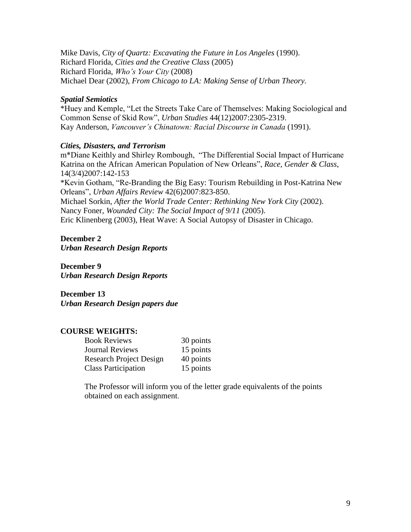Mike Davis, *City of Quartz: Excavating the Future in Los Angeles* (1990). Richard Florida, *Cities and the Creative Class* (2005) Richard Florida, *Who's Your City* (2008) Michael Dear (2002), *From Chicago to LA: Making Sense of Urban Theory.*

#### *Spatial Semiotics*

\*Huey and Kemple, "Let the Streets Take Care of Themselves: Making Sociological and Common Sense of Skid Row", *Urban Studies* 44(12)2007:2305-2319. Kay Anderson, *Vancouver's Chinatown: Racial Discourse in Canada* (1991).

### *Cities, Disasters, and Terrorism*

m\*Diane Keithly and Shirley Rombough, "The Differential Social Impact of Hurricane Katrina on the African American Population of New Orleans", *Race, Gender & Class*, 14(3/4)2007:142-153

\*Kevin Gotham, "Re-Branding the Big Easy: Tourism Rebuilding in Post-Katrina New Orleans", *Urban Affairs Review* 42(6)2007:823-850.

Michael Sorkin, *After the World Trade Center: Rethinking New York City* (2002). Nancy Foner, *Wounded City: The Social Impact of 9/11* (2005).

Eric Klinenberg (2003), Heat Wave: A Social Autopsy of Disaster in Chicago.

### **December 2**

*Urban Research Design Reports*

**December 9** *Urban Research Design Reports*

**December 13** *Urban Research Design papers due*

## **COURSE WEIGHTS:**

| <b>Book Reviews</b>            | 30 points |
|--------------------------------|-----------|
| <b>Journal Reviews</b>         | 15 points |
| <b>Research Project Design</b> | 40 points |
| <b>Class Participation</b>     | 15 points |

The Professor will inform you of the letter grade equivalents of the points obtained on each assignment.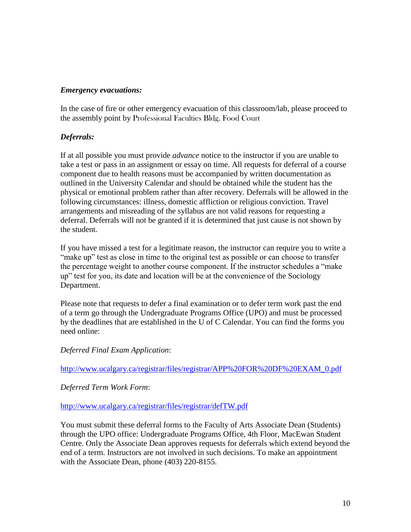#### *Emergency evacuations:*

In the case of fire or other emergency evacuation of this classroom/lab, please proceed to the assembly point by Professional Faculties Bldg. Food Court

## *Deferrals:*

If at all possible you must provide *advance* notice to the instructor if you are unable to take a test or pass in an assignment or essay on time. All requests for deferral of a course component due to health reasons must be accompanied by written documentation as outlined in the University Calendar and should be obtained while the student has the physical or emotional problem rather than after recovery. Deferrals will be allowed in the following circumstances: illness, domestic affliction or religious conviction. Travel arrangements and misreading of the syllabus are not valid reasons for requesting a deferral. Deferrals will not be granted if it is determined that just cause is not shown by the student.

If you have missed a test for a legitimate reason, the instructor can require you to write a "make up" test as close in time to the original test as possible or can choose to transfer the percentage weight to another course component. If the instructor schedules a "make up" test for you, its date and location will be at the convenience of the Sociology Department.

Please note that requests to defer a final examination or to defer term work past the end of a term go through the Undergraduate Programs Office (UPO) and must be processed by the deadlines that are established in the U of C Calendar. You can find the forms you need online:

### *Deferred Final Exam Application*:

[http://www.ucalgary.ca/registrar/files/registrar/APP%20FOR%20DF%20EXAM\\_0.pdf](http://www.ucalgary.ca/registrar/files/registrar/APP%20FOR%20DF%20EXAM_0.pdf)

### *Deferred Term Work Form*:

### <http://www.ucalgary.ca/registrar/files/registrar/defTW.pdf>

You must submit these deferral forms to the Faculty of Arts Associate Dean (Students) through the UPO office: Undergraduate Programs Office, 4th Floor, MacEwan Student Centre. Only the Associate Dean approves requests for deferrals which extend beyond the end of a term. Instructors are not involved in such decisions. To make an appointment with the Associate Dean, phone (403) 220-8155.